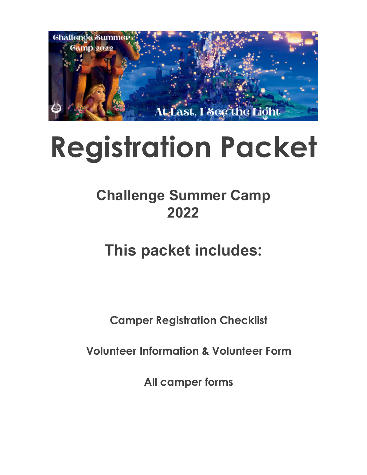

# **Registration Packet**

## **Challenge Summer Camp 2022**

# **This packet includes:**

**Camper Registration Checklist**

**Volunteer Information & Volunteer Form**

**All camper forms**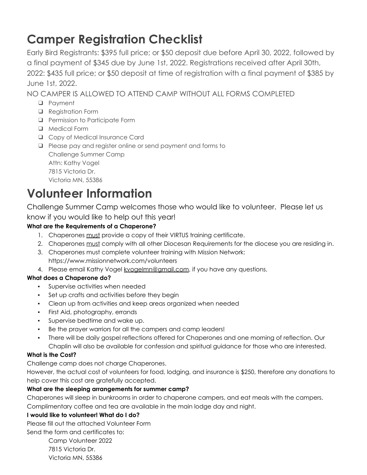### **Camper Registration Checklist**

Early Bird Registrants: \$395 full price; or \$50 deposit due before April 30, 2022, followed by a final payment of \$345 due by June 1st, 2022. Registrations received after April 30th, 2022: \$435 full price; or \$50 deposit at time of registration with a final payment of \$385 by June 1st, 2022.

NO CAMPER IS ALLOWED TO ATTEND CAMP WITHOUT ALL FORMS COMPLETED

- ❑ Payment
- ❑ Registration Form
- ❑ Permission to Participate Form
- ❑ Medical Form
- ❑ Copy of Medical Insurance Card
- ❑ Please pay and register online or send payment and forms to Challenge Summer Camp Attn: Kathy Vogel 7815 Victoria Dr. Victoria MN, 55386

### **Volunteer Information**

Challenge Summer Camp welcomes those who would like to volunteer. Please let us know if you would like to help out this year!

### **What are the Requirements of a Chaperone?**

- 1. Chaperones must provide a copy of their VIRTUS training certificate.
- 2. Chaperones must comply with all other Diocesan Requirements for the diocese you are residing in.
- 3. Chaperones must complete volunteer training with Mission Network: https://www.missionnetwork.com/volunteers
- 4. Please email Kathy Vogel kvogelmn@gmail.com, if you have any questions.

### **What does a Chaperone do?**

- Supervise activities when needed
- Set up crafts and activities before they begin
- Clean up from activities and keep areas organized when needed
- First Aid, photography, errands
- Supervise bedtime and wake up.
- Be the prayer warriors for all the campers and camp leaders!
- There will be daily gospel reflections offered for Chaperones and one morning of reflection. Our Chaplin will also be available for confession and spiritual guidance for those who are interested.

### **What is the Cost?**

Challenge camp does not charge Chaperones.

However, the actual cost of volunteers for food, lodging, and insurance is \$250, therefore any donations to help cover this cost are gratefully accepted.

### **What are the sleeping arrangements for summer camp?**

Chaperones will sleep in bunkrooms in order to chaperone campers, and eat meals with the campers.

Complimentary coffee and tea are available in the main lodge day and night.

### **I would like to volunteer! What do I do?**

Please fill out the attached Volunteer Form

Send the form and certificates to:

Camp Volunteer 2022 7815 Victoria Dr. Victoria MN, 55386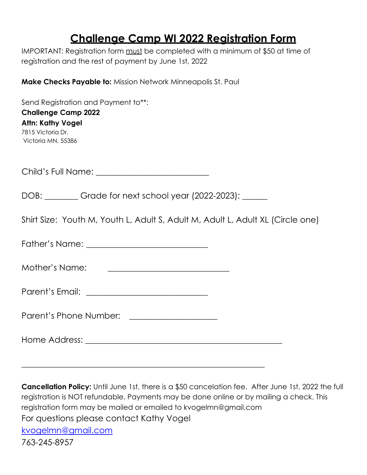### **Challenge Camp WI 2022 Registration Form**

IMPORTANT: Registration form must be completed with a minimum of \$50 at time of registration and the rest of payment by June 1st, 2022

**Make Checks Payable to:** Mission Network Minneapolis St. Paul

Send Registration and Payment to\*\*: **Challenge Camp 2022 Attn: Kathy Vogel** 7815 Victoria Dr. Victoria MN, 55386

Child's Full Name: \_\_\_\_\_\_\_\_\_\_\_\_\_\_\_\_\_\_\_\_\_\_\_\_\_\_\_

DOB: Grade for next school year (2022-2023): \_\_\_\_\_

Shirt Size: Youth M, Youth L, Adult S, Adult M, Adult L, Adult XL (Circle one)

Father's Name: **Example 2018** 

Mother's Name: \_\_\_\_\_\_\_\_\_\_\_\_\_\_\_\_\_\_\_\_\_\_\_\_\_\_\_\_\_

Parent's Email: \_\_\_\_\_\_\_\_\_\_\_\_\_\_\_\_\_\_\_\_\_\_\_\_\_\_\_\_\_

Parent's Phone Number: \_\_\_\_\_\_\_\_\_\_\_\_\_\_\_\_\_\_\_\_\_

Home Address: \_\_\_\_\_\_\_\_\_\_\_\_\_\_\_\_\_\_\_\_\_\_\_\_\_\_\_\_\_\_\_\_\_\_\_\_\_\_\_\_\_\_\_\_\_\_\_

 $\overline{\phantom{a}}$  , and the contract of the contract of the contract of the contract of the contract of the contract of the contract of the contract of the contract of the contract of the contract of the contract of the contrac

**Cancellation Policy:** Until June 1st, there is a \$50 cancelation fee. After June 1st, 2022 the full registration is NOT refundable. Payments may be done online or by mailing a check. This registration form may be mailed or emailed to kvogelmn@gmail.com For questions please contact Kathy Vogel [kvogelmn@gmail.com](mailto:kvogelmn@gmail.com) 763-245-8957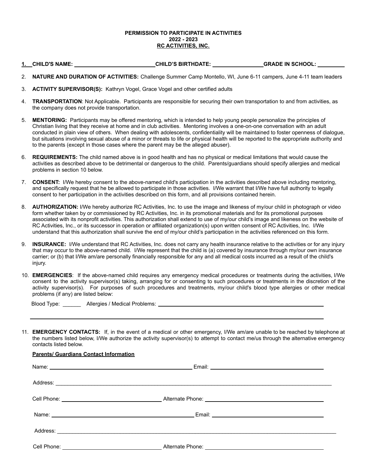#### **PERMISSION TO PARTICIPATE IN ACTIVITIES 2022 - 2023 RC ACTIVITIES, INC.**

### **1. CHILD'S NAME:** \_\_\_\_\_\_\_\_\_\_\_\_\_\_\_\_\_\_\_\_\_\_\_\_\_\_\_**CHILD'S BIRTHDATE:** \_\_\_\_\_\_\_\_\_\_\_\_\_\_\_\_\_**GRADE IN SCHOOL:** \_\_\_\_\_\_\_\_\_

- 2. **NATURE AND DURATION OF ACTIVITIES:** Challenge Summer Camp Montello, WI, June 6-11 campers, June 4-11 team leaders
- 3. **ACTIVITY SUPERVISOR(S):** Kathryn Vogel, Grace Vogel and other certified adults
- 4. **TRANSPORTATION**: Not Applicable. Participants are responsible for securing their own transportation to and from activities, as the company does not provide transportation.
- 5. **MENTORING:** Participants may be offered mentoring, which is intended to help young people personalize the principles of Christian living that they receive at home and in club activities. Mentoring involves a one-on-one conversation with an adult conducted in plain view of others. When dealing with adolescents, confidentiality will be maintained to foster openness of dialogue, but situations involving sexual abuse of a minor or threats to life or physical health will be reported to the appropriate authority and to the parents (except in those cases where the parent may be the alleged abuser).
- 6. **REQUIREMENTS:** The child named above is in good health and has no physical or medical limitations that would cause the activities as described above to be detrimental or dangerous to the child. Parents/guardians should specify allergies and medical problems in section 10 below.
- 7. **CONSENT:** I/We hereby consent to the above-named child's participation in the activities described above including mentoring, and specifically request that he be allowed to participate in those activities. I/We warrant that I/We have full authority to legally consent to her participation in the activities described on this form, and all provisions contained herein.
- 8. **AUTHORIZATION:** I/We hereby authorize RC Activities, Inc. to use the image and likeness of my/our child in photograph or video form whether taken by or commissioned by RC Activities, Inc. in its promotional materials and for its promotional purposes associated with its nonprofit activities. This authorization shall extend to use of my/our child's image and likeness on the website of RC Activities, Inc., or its successor in operation or affiliated organization(s) upon written consent of RC Activities, Inc. I/We understand that this authorization shall survive the end of my/our child's participation in the activities referenced on this form.
- 9. **INSURANCE:** I/We understand that RC Activities, Inc. does not carry any health insurance relative to the activities or for any injury that may occur to the above-named child. I/We represent that the child is (a) covered by insurance through my/our own insurance carrier; or (b) that I/We am/are personally financially responsible for any and all medical costs incurred as a result of the child's injury.
- 10. **EMERGENCIES**: If the above-named child requires any emergency medical procedures or treatments during the activities, I/We consent to the activity supervisor(s) taking, arranging for or consenting to such procedures or treatments in the discretion of the activity supervisor(s). For purposes of such procedures and treatments, my/our child's blood type allergies or other medical problems (if any) are listed below:

Blood Type: \_\_\_\_\_\_ Allergies / Medical Problems:

11. **EMERGENCY CONTACTS:** If, in the event of a medical or other emergency, I/We am/are unable to be reached by telephone at the numbers listed below, I/We authorize the activity supervisor(s) to attempt to contact me/us through the alternative emergency contacts listed below.

#### **Parents/ Guardians Contact Information**

|                                                                                                                                                                                                                               | Address: <u>Address:</u> Address: Address: Address: Address: Address: Address: Address: Address: Address: Address: Address: Address: Address: Address: Address: Address: Address: Address: Address: Address: Address: Address: Addr |
|-------------------------------------------------------------------------------------------------------------------------------------------------------------------------------------------------------------------------------|-------------------------------------------------------------------------------------------------------------------------------------------------------------------------------------------------------------------------------------|
|                                                                                                                                                                                                                               | Alternate Phone: 2008 - 2009 - 2010 - 2010 - 2010 - 2010 - 2010 - 2010 - 2010 - 2010 - 2010 - 2010 - 2010 - 20                                                                                                                      |
| Name: Name: Name: Name: Name: Name: Name: Name: Name: Name: Name: Name: Name: Name: Name: Name: Name: Name: Name: Name: Name: Name: Name: Name: Name: Name: Name: Name: Name: Name: Name: Name: Name: Name: Name: Name: Name: |                                                                                                                                                                                                                                     |
|                                                                                                                                                                                                                               |                                                                                                                                                                                                                                     |
|                                                                                                                                                                                                                               |                                                                                                                                                                                                                                     |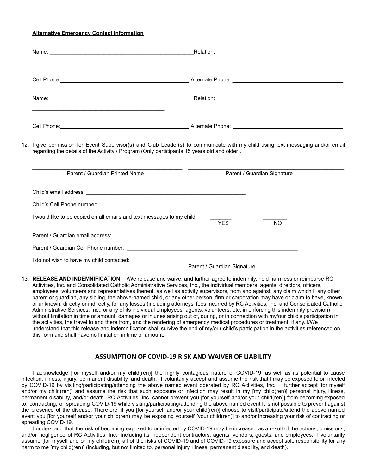#### **Alternative Emergency Contact Information**

| Name: Relation:                                                        |                                                                                                                                                                                                                                |     |
|------------------------------------------------------------------------|--------------------------------------------------------------------------------------------------------------------------------------------------------------------------------------------------------------------------------|-----|
|                                                                        |                                                                                                                                                                                                                                |     |
|                                                                        |                                                                                                                                                                                                                                |     |
|                                                                        |                                                                                                                                                                                                                                |     |
|                                                                        | 12. I give permission for Event Supervisor(s) and Club Leader(s) to communicate with my child using text messaging and/or email<br>regarding the details of the Activity / Program (Only participants 15 years old and older). |     |
| Parent / Guardian Printed Name                                         | Parent / Guardian Signature                                                                                                                                                                                                    |     |
|                                                                        |                                                                                                                                                                                                                                |     |
|                                                                        |                                                                                                                                                                                                                                |     |
| I would like to be copied on all emails and text messages to my child. | <b>YES</b>                                                                                                                                                                                                                     | NO. |
|                                                                        |                                                                                                                                                                                                                                |     |
|                                                                        |                                                                                                                                                                                                                                |     |
| I do not wish to have my child contacted:                              |                                                                                                                                                                                                                                |     |

Parent / Guardian Signature

13. **RELEASE AND INDEMNIFICATION:** I/We release and waive, and further agree to indemnify, hold harmless or reimburse RC Activities, Inc. and Consolidated Catholic Administrative Services, Inc., the individual members, agents, directors, officers, employees, volunteers and representatives thereof, as well as activity supervisors, from and against, any claim which I, any other parent or guardian, any sibling, the above-named child, or any other person, firm or corporation may have or claim to have, known or unknown, directly or indirectly, for any losses (including attorneys' fees incurred by RC Activities, Inc. and Consolidated Catholic Administrative Services, Inc., or any of its individual employees, agents, volunteers, etc. in enforcing this indemnity provision) without limitation in time or amount, damages or injuries arising out of, during, or in connection with my/our child's participation in the activities, the travel to and there from, and the rendering of emergency medical procedures or treatment, if any. I/We understand that this release and indemnification shall survive the end of my/our child's participation in the activities referenced on this form and shall have no limitation in time or amount.

### **ASSUMPTION OF COVID-19 RISK AND WAIVER OF LIABILITY**

I acknowledge [for myself and/or my child(ren)] the highly contagious nature of COVID-19, as well as its potential to cause infection, illness, injury, permanent disability, and death. I voluntarily accept and assume the risk that I may be exposed to or infected by COVID-19 by visiting/participating/attending the above named event operated by RC Activities, Inc. I further accept [for myself and/or my child(ren)] and assume the risk that such exposure or infection may result in my [my child(ren)] personal injury, illness, permanent disability, and/or death. RC Activities, Inc. cannot prevent you [for yourself and/or your child(ren)] from becoming exposed to, contracting, or spreading COVID-19 while visiting/participating/attending the above named event It is not possible to prevent against the presence of the disease. Therefore, if you [for yourself and/or your child(ren)] choose to visit/participate/attend the above named event you [for yourself and/or your child(ren) may be exposing yourself [your child(ren)] to and/or increasing your risk of contracting or spreading COVID-19.

I understand that the risk of becoming exposed to or infected by COVID-19 may be increased as a result of the actions, omissions, and/or negligence of RC Activities, Inc., including its independent contractors, agents, vendors, guests, and employees. I voluntarily assume [for myself and or my child(ren)] all of the risks of COVID-19 and of COVID-19 exposure and accept sole responsibility for any harm to me [my child(ren)] (including, but not limited to, personal injury, illness, permanent disability, and death).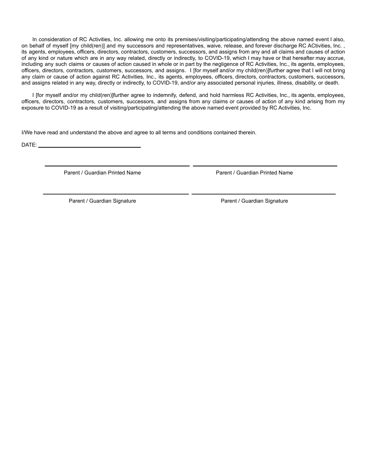In consideration of RC Activities, Inc. allowing me onto its premises/visiting/participating/attending the above named event I also, on behalf of myself [my child(ren)] and my successors and representatives, waive, release, and forever discharge RC ACtivities, Inc. , its agents, employees, officers, directors, contractors, customers, successors, and assigns from any and all claims and causes of action of any kind or nature which are in any way related, directly or indirectly, to COVID-19, which I may have or that hereafter may accrue, including any such claims or causes of action caused in whole or in part by the negligence of RC Activities, Inc., its agents, employees, officers, directors, contractors, customers, successors, and assigns. I [for myself and/or my child(ren)]further agree that I will not bring any claim or cause of action against RC Activities, Inc., its agents, employees, officers, directors, contractors, customers, successors, and assigns related in any way, directly or indirectly, to COVID-19, and/or any associated personal injuries, illness, disability, or death.

I [for myself and/or my child(ren)]further agree to indemnify, defend, and hold harmless RC Activities, Inc., its agents, employees, officers, directors, contractors, customers, successors, and assigns from any claims or causes of action of any kind arising from my exposure to COVID-19 as a result of visiting/participating/attending the above named event provided by RC Activities, Inc.

\_\_\_\_\_\_\_\_\_\_\_\_\_\_\_\_\_\_\_\_\_\_\_\_\_\_\_\_\_\_\_\_\_\_\_\_\_\_\_\_\_\_\_\_\_\_\_\_ \_\_\_\_\_\_\_\_\_\_\_\_\_\_\_\_\_\_\_\_\_\_\_\_\_\_\_\_\_\_\_\_\_\_\_\_\_\_\_\_\_\_\_\_\_\_\_\_

\_\_\_\_\_\_\_\_\_\_\_\_\_\_\_\_\_\_\_\_\_\_\_\_\_\_\_\_\_\_\_\_\_\_\_\_\_\_\_\_\_\_\_\_\_\_\_\_ \_\_\_\_\_\_\_\_\_\_\_\_\_\_\_\_\_\_\_\_\_\_\_\_\_\_\_\_\_\_\_\_\_\_\_\_\_\_\_\_\_\_\_\_\_\_\_\_

I/We have read and understand the above and agree to all terms and conditions contained therein.

 $DATAE:$ 

Parent / Guardian Printed Name **Parent / Guardian Printed Name** 

Parent / Guardian Signature **Parent / Guardian Signature** Parent / Guardian Signature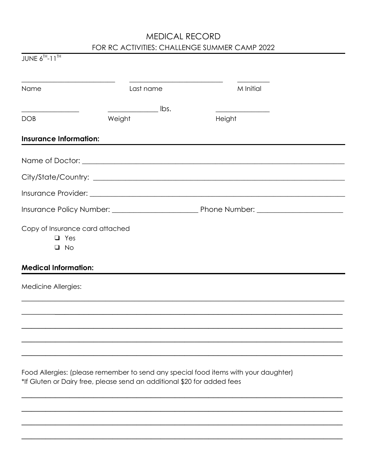### MEDICAL RECORD FOR RC ACTIVITIES: CHALLENGE SUMMER CAMP 2022

| JUNE $6^{\text{TH}}$ -11 <sup>TH</sup>                                     |                                            |           |  |
|----------------------------------------------------------------------------|--------------------------------------------|-----------|--|
| <u> 1989 - Johann John Stein, markin fizzar marekat (h. 1982).</u><br>Name | Last name                                  | M Initial |  |
|                                                                            | $\frac{1}{\sqrt{1-\frac{1}{2}}\cos\theta}$ |           |  |
| DOB                                                                        | Weight                                     | Height    |  |
| <b>Insurance Information:</b>                                              |                                            |           |  |
|                                                                            |                                            |           |  |
|                                                                            |                                            |           |  |
|                                                                            |                                            |           |  |
|                                                                            |                                            |           |  |
| Copy of Insurance card attached<br>$\Box$ Yes<br>$\square$ No              |                                            |           |  |
| <b>Medical Information:</b>                                                |                                            |           |  |
| Medicine Allergies:                                                        |                                            |           |  |
|                                                                            |                                            |           |  |
|                                                                            |                                            |           |  |
|                                                                            |                                            |           |  |
|                                                                            |                                            |           |  |

Food Allergies: (please remember to send any special food items with your daughter) \*If Gluten or Dairy free, please send an additional \$20 for added fees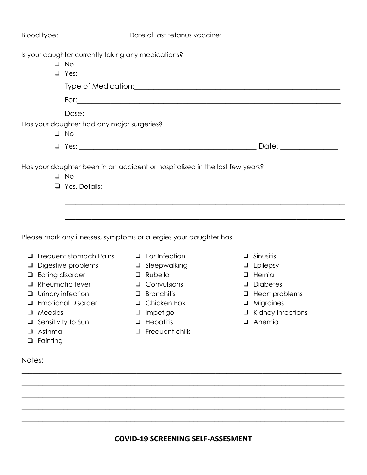|                                                                                               |                                                                                                                                                                                   |                                                                                                                                                            | Blood type: ________________________Date of last tetanus vaccine: __________________________________                                                                |
|-----------------------------------------------------------------------------------------------|-----------------------------------------------------------------------------------------------------------------------------------------------------------------------------------|------------------------------------------------------------------------------------------------------------------------------------------------------------|---------------------------------------------------------------------------------------------------------------------------------------------------------------------|
|                                                                                               | Is your daughter currently taking any medications?<br>$\Box$ No<br>$\Box$ Yes:                                                                                                    |                                                                                                                                                            |                                                                                                                                                                     |
|                                                                                               |                                                                                                                                                                                   |                                                                                                                                                            |                                                                                                                                                                     |
|                                                                                               |                                                                                                                                                                                   |                                                                                                                                                            |                                                                                                                                                                     |
|                                                                                               |                                                                                                                                                                                   |                                                                                                                                                            |                                                                                                                                                                     |
|                                                                                               | Has your daughter had any major surgeries?<br>$\Box$ No                                                                                                                           |                                                                                                                                                            |                                                                                                                                                                     |
|                                                                                               |                                                                                                                                                                                   |                                                                                                                                                            |                                                                                                                                                                     |
|                                                                                               | $\Box$ No<br>$\Box$ Yes. Details:                                                                                                                                                 | Please mark any illnesses, symptoms or allergies your daughter has:                                                                                        |                                                                                                                                                                     |
| Eating disorder<br>$\Box$<br>$\Box$<br>$\Box$<br>Measles<br>□<br>⊔<br>Asthma<br>□<br>Fainting | $\Box$ Frequent stomach Pains $\Box$ Ear Infection<br>$\Box$ Digestive problems<br>Rheumatic fever<br>$\Box$ Urinary infection<br><b>Emotional Disorder</b><br>Sensitivity to Sun | □ Sleepwalking<br>$\Box$ Rubella<br>$\Box$ Convulsions<br>$\Box$ Bronchitis<br>Chicken Pox<br>⊔<br>Impetigo<br>⊔<br>Hepatitis<br>⊔<br>Frequent chills<br>u | $\Box$ Sinusitis<br>$\Box$ Epilepsy<br>$\Box$ Hernia<br>$\Box$ Diabetes<br>$\Box$ Heart problems<br>$\Box$ Migraines<br>$\Box$ Kidney Infections<br><b>Q</b> Anemia |

Notes:

**COVID-19 SCREENING SELF-ASSESMENT**

 $\_$  , and the set of the set of the set of the set of the set of the set of the set of the set of the set of the set of the set of the set of the set of the set of the set of the set of the set of the set of the set of th  $\overline{\phantom{a}}$  , and the set of the set of the set of the set of the set of the set of the set of the set of the set of the set of the set of the set of the set of the set of the set of the set of the set of the set of the s  $\overline{\phantom{a}}$  , and the set of the set of the set of the set of the set of the set of the set of the set of the set of the set of the set of the set of the set of the set of the set of the set of the set of the set of the s  $\overline{\phantom{a}}$  , and the set of the set of the set of the set of the set of the set of the set of the set of the set of the set of the set of the set of the set of the set of the set of the set of the set of the set of the s  $\overline{\phantom{a}}$  , and the set of the set of the set of the set of the set of the set of the set of the set of the set of the set of the set of the set of the set of the set of the set of the set of the set of the set of the s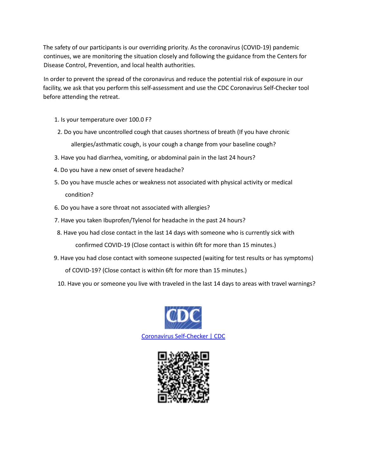The safety of our participants is our overriding priority. As the coronavirus (COVID-19) pandemic continues, we are monitoring the situation closely and following the guidance from the Centers for Disease Control, Prevention, and local health authorities.

In order to prevent the spread of the coronavirus and reduce the potential risk of exposure in our facility, we ask that you perform this self-assessment and use the CDC Coronavirus Self-Checker tool before attending the retreat.

- 1. Is your temperature over 100.0 F?
- 2. Do you have uncontrolled cough that causes shortness of breath (If you have chronic allergies/asthmatic cough, is your cough a change from your baseline cough?
- 3. Have you had diarrhea, vomiting, or abdominal pain in the last 24 hours?
- 4. Do you have a new onset of severe headache?
- 5. Do you have muscle aches or weakness not associated with physical activity or medical condition?
- 6. Do you have a sore throat not associated with allergies?
- 7. Have you taken Ibuprofen/Tylenol for headache in the past 24 hours?
- 8. Have you had close contact in the last 14 days with someone who is currently sick with confirmed COVID-19 (Close contact is within 6ft for more than 15 minutes.)
- 9. Have you had close contact with someone suspected (waiting for test results or has symptoms) of COVID-19? (Close contact is within 6ft for more than 15 minutes.)
- 10. Have you or someone you live with traveled in the last 14 days to areas with travel warnings?



Coronavirus Self-Checker | CDC

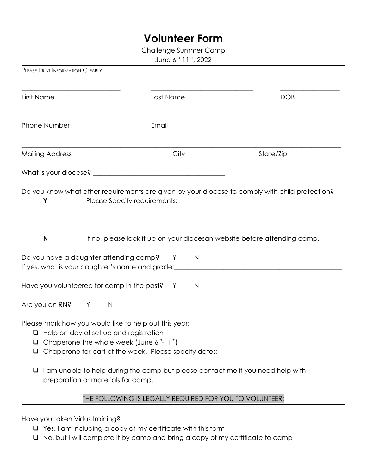### **Volunteer Form**

Challenge Summer Camp

June 6<sup>th</sup>-11<sup>th</sup>, 2022

| <b>First Name</b>                                                                                                                                                                   | Last Name                                                                                                | <b>DOB</b> |
|-------------------------------------------------------------------------------------------------------------------------------------------------------------------------------------|----------------------------------------------------------------------------------------------------------|------------|
| Phone Number                                                                                                                                                                        | Email                                                                                                    |            |
| <b>Mailing Address</b>                                                                                                                                                              | City                                                                                                     | State/Zip  |
|                                                                                                                                                                                     |                                                                                                          |            |
| Y<br>N                                                                                                                                                                              | Please Specify requirements:<br>If no, please look it up on your diocesan website before attending camp. |            |
| Do you have a daughter attending camp?<br>If yes, what is your daughter's name and grade:                                                                                           | $\mathsf{N}$<br>Y                                                                                        |            |
| Have you volunteered for camp in the past?                                                                                                                                          | Y<br>$\mathsf{N}$                                                                                        |            |
| Are you an RN?<br>Y                                                                                                                                                                 | $\mathsf{N}$                                                                                             |            |
| Please mark how you would like to help out this year:<br>$\Box$ Help on day of set up and registration<br>$\Box$ Chaperone the whole week (June $6^{\text{th}}$ -11 <sup>th</sup> ) | □ Chaperone for part of the week. Please specify dates:                                                  |            |

❑ I am unable to help during the camp but please contact me if you need help with preparation or materials for camp.

### THE FOLLOWING IS LEGALLY REQUIRED FOR YOU TO VOLUNTEER:

Have you taken Virtus training?

PLEASE PRINT INFORMATION CLEARLY

- ❑ Yes, I am including a copy of my certificate with this form
- ❑ No, but I will complete it by camp and bring a copy of my certificate to camp